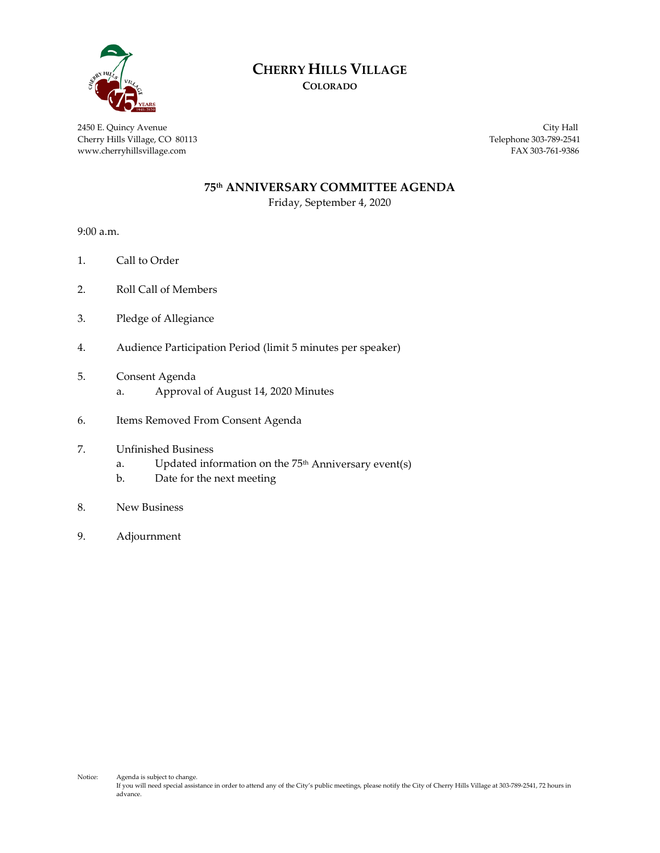

### **CHERRY HILLS VILLAGE**

**COLORADO**

2450 E. Quincy Avenue City Hall Cherry Hills Village, CO 80113 Telephone 303-789-2541 www.cherryhillsvillage.com FAX 303-761-9386

#### **75th ANNIVERSARY COMMITTEE AGENDA**

Friday, September 4, 2020

9:00 a.m.

- 1. Call to Order
- 2. Roll Call of Members
- 3. Pledge of Allegiance
- 4. Audience Participation Period (limit 5 minutes per speaker)
- 5. Consent Agenda
	- a. Approval of August 14, 2020 Minutes
- 6. Items Removed From Consent Agenda
- 7. Unfinished Business
	- a. Updated information on the  $75<sup>th</sup>$  Anniversary event(s)
	- b. Date for the next meeting
- 8. New Business
- 9. Adjournment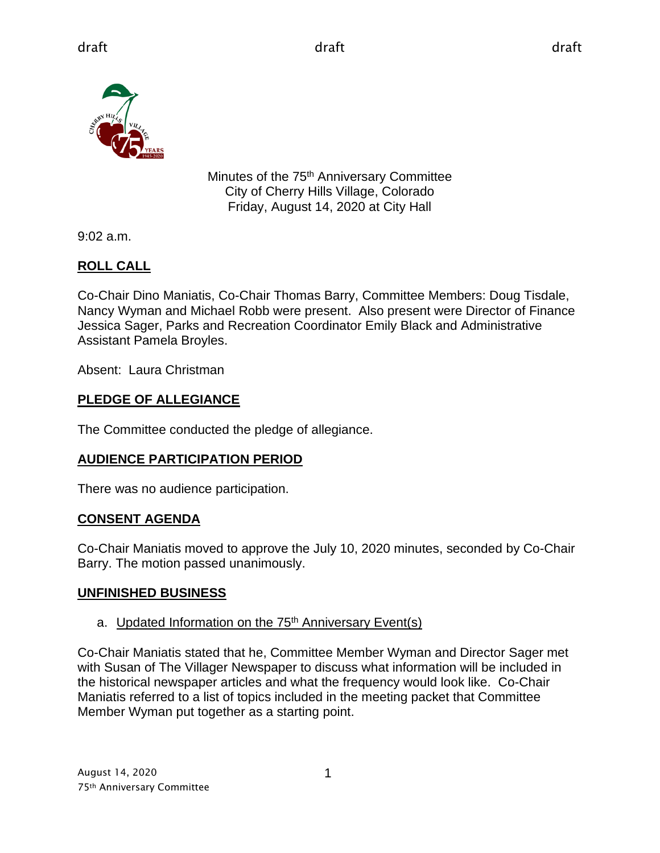

Minutes of the 75<sup>th</sup> Anniversary Committee City of Cherry Hills Village, Colorado Friday, August 14, 2020 at City Hall

9:02 a.m.

### **ROLL CALL**

Co-Chair Dino Maniatis, Co-Chair Thomas Barry, Committee Members: Doug Tisdale, Nancy Wyman and Michael Robb were present. Also present were Director of Finance Jessica Sager, Parks and Recreation Coordinator Emily Black and Administrative Assistant Pamela Broyles.

Absent: Laura Christman

### **PLEDGE OF ALLEGIANCE**

The Committee conducted the pledge of allegiance.

#### **AUDIENCE PARTICIPATION PERIOD**

There was no audience participation.

#### **CONSENT AGENDA**

Co-Chair Maniatis moved to approve the July 10, 2020 minutes, seconded by Co-Chair Barry. The motion passed unanimously.

#### **UNFINISHED BUSINESS**

#### a. Updated Information on the 75<sup>th</sup> Anniversary Event(s)

Co-Chair Maniatis stated that he, Committee Member Wyman and Director Sager met with Susan of The Villager Newspaper to discuss what information will be included in the historical newspaper articles and what the frequency would look like. Co-Chair Maniatis referred to a list of topics included in the meeting packet that Committee Member Wyman put together as a starting point.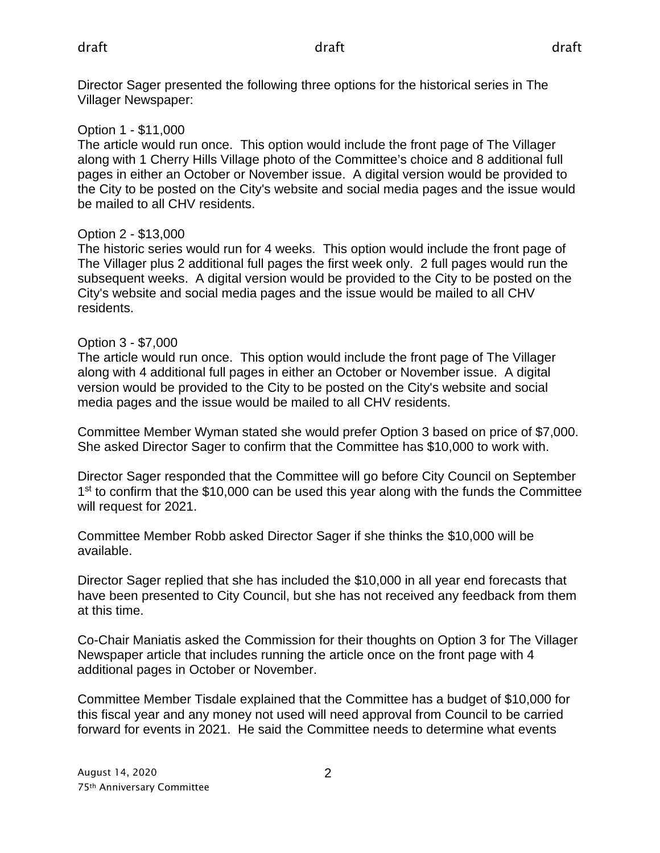Director Sager presented the following three options for the historical series in The Villager Newspaper:

#### Option 1 - \$11,000

The article would run once. This option would include the front page of The Villager along with 1 Cherry Hills Village photo of the Committee's choice and 8 additional full pages in either an October or November issue. A digital version would be provided to the City to be posted on the City's website and social media pages and the issue would be mailed to all CHV residents.

#### Option 2 - \$13,000

The historic series would run for 4 weeks. This option would include the front page of The Villager plus 2 additional full pages the first week only. 2 full pages would run the subsequent weeks. A digital version would be provided to the City to be posted on the City's website and social media pages and the issue would be mailed to all CHV residents.

#### Option 3 - \$7,000

The article would run once. This option would include the front page of The Villager along with 4 additional full pages in either an October or November issue. A digital version would be provided to the City to be posted on the City's website and social media pages and the issue would be mailed to all CHV residents.

Committee Member Wyman stated she would prefer Option 3 based on price of \$7,000. She asked Director Sager to confirm that the Committee has \$10,000 to work with.

Director Sager responded that the Committee will go before City Council on September  $1<sup>st</sup>$  to confirm that the \$10,000 can be used this year along with the funds the Committee will request for 2021.

Committee Member Robb asked Director Sager if she thinks the \$10,000 will be available.

Director Sager replied that she has included the \$10,000 in all year end forecasts that have been presented to City Council, but she has not received any feedback from them at this time.

Co-Chair Maniatis asked the Commission for their thoughts on Option 3 for The Villager Newspaper article that includes running the article once on the front page with 4 additional pages in October or November.

Committee Member Tisdale explained that the Committee has a budget of \$10,000 for this fiscal year and any money not used will need approval from Council to be carried forward for events in 2021. He said the Committee needs to determine what events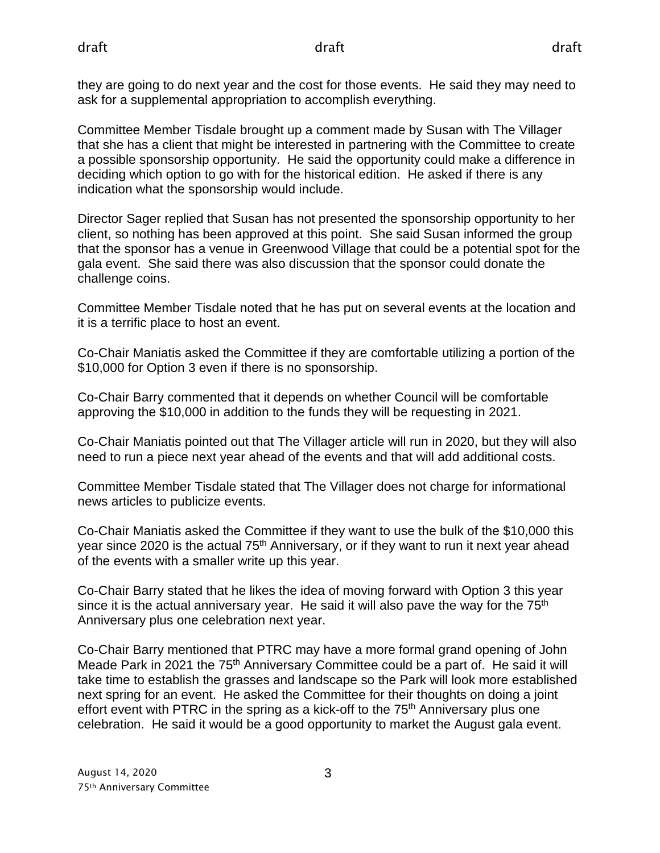they are going to do next year and the cost for those events. He said they may need to ask for a supplemental appropriation to accomplish everything.

Committee Member Tisdale brought up a comment made by Susan with The Villager that she has a client that might be interested in partnering with the Committee to create a possible sponsorship opportunity. He said the opportunity could make a difference in deciding which option to go with for the historical edition. He asked if there is any indication what the sponsorship would include.

Director Sager replied that Susan has not presented the sponsorship opportunity to her client, so nothing has been approved at this point. She said Susan informed the group that the sponsor has a venue in Greenwood Village that could be a potential spot for the gala event. She said there was also discussion that the sponsor could donate the challenge coins.

Committee Member Tisdale noted that he has put on several events at the location and it is a terrific place to host an event.

Co-Chair Maniatis asked the Committee if they are comfortable utilizing a portion of the \$10,000 for Option 3 even if there is no sponsorship.

Co-Chair Barry commented that it depends on whether Council will be comfortable approving the \$10,000 in addition to the funds they will be requesting in 2021.

Co-Chair Maniatis pointed out that The Villager article will run in 2020, but they will also need to run a piece next year ahead of the events and that will add additional costs.

Committee Member Tisdale stated that The Villager does not charge for informational news articles to publicize events.

Co-Chair Maniatis asked the Committee if they want to use the bulk of the \$10,000 this year since 2020 is the actual 75<sup>th</sup> Anniversary, or if they want to run it next year ahead of the events with a smaller write up this year.

Co-Chair Barry stated that he likes the idea of moving forward with Option 3 this year since it is the actual anniversary year. He said it will also pave the way for the  $75<sup>th</sup>$ Anniversary plus one celebration next year.

Co-Chair Barry mentioned that PTRC may have a more formal grand opening of John Meade Park in 2021 the 75<sup>th</sup> Anniversary Committee could be a part of. He said it will take time to establish the grasses and landscape so the Park will look more established next spring for an event. He asked the Committee for their thoughts on doing a joint effort event with PTRC in the spring as a kick-off to the 75<sup>th</sup> Anniversary plus one celebration. He said it would be a good opportunity to market the August gala event.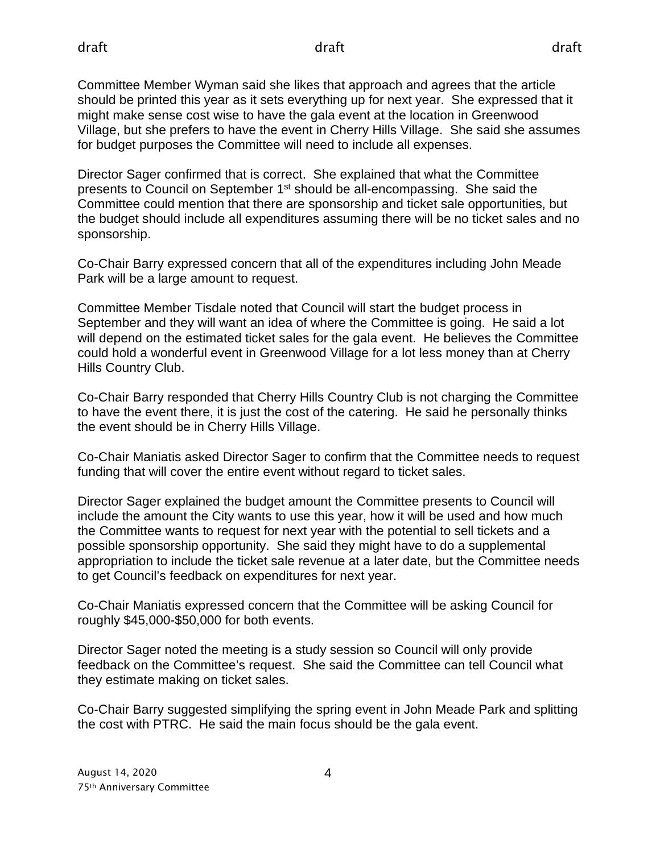Committee Member Wyman said she likes that approach and agrees that the article should be printed this year as it sets everything up for next year. She expressed that it might make sense cost wise to have the gala event at the location in Greenwood Village, but she prefers to have the event in Cherry Hills Village. She said she assumes for budget purposes the Committee will need to include all expenses.

Director Sager confirmed that is correct. She explained that what the Committee presents to Council on September 1<sup>st</sup> should be all-encompassing. She said the Committee could mention that there are sponsorship and ticket sale opportunities, but the budget should include all expenditures assuming there will be no ticket sales and no sponsorship.

Co-Chair Barry expressed concern that all of the expenditures including John Meade Park will be a large amount to request.

Committee Member Tisdale noted that Council will start the budget process in September and they will want an idea of where the Committee is going. He said a lot will depend on the estimated ticket sales for the gala event. He believes the Committee could hold a wonderful event in Greenwood Village for a lot less money than at Cherry Hills Country Club.

Co-Chair Barry responded that Cherry Hills Country Club is not charging the Committee to have the event there, it is just the cost of the catering. He said he personally thinks the event should be in Cherry Hills Village.

Co-Chair Maniatis asked Director Sager to confirm that the Committee needs to request funding that will cover the entire event without regard to ticket sales.

Director Sager explained the budget amount the Committee presents to Council will include the amount the City wants to use this year, how it will be used and how much the Committee wants to request for next year with the potential to sell tickets and a possible sponsorship opportunity. She said they might have to do a supplemental appropriation to include the ticket sale revenue at a later date, but the Committee needs to get Council's feedback on expenditures for next year.

Co-Chair Maniatis expressed concern that the Committee will be asking Council for roughly \$45,000-\$50,000 for both events.

Director Sager noted the meeting is a study session so Council will only provide feedback on the Committee's request. She said the Committee can tell Council what they estimate making on ticket sales.

Co-Chair Barry suggested simplifying the spring event in John Meade Park and splitting the cost with PTRC. He said the main focus should be the gala event.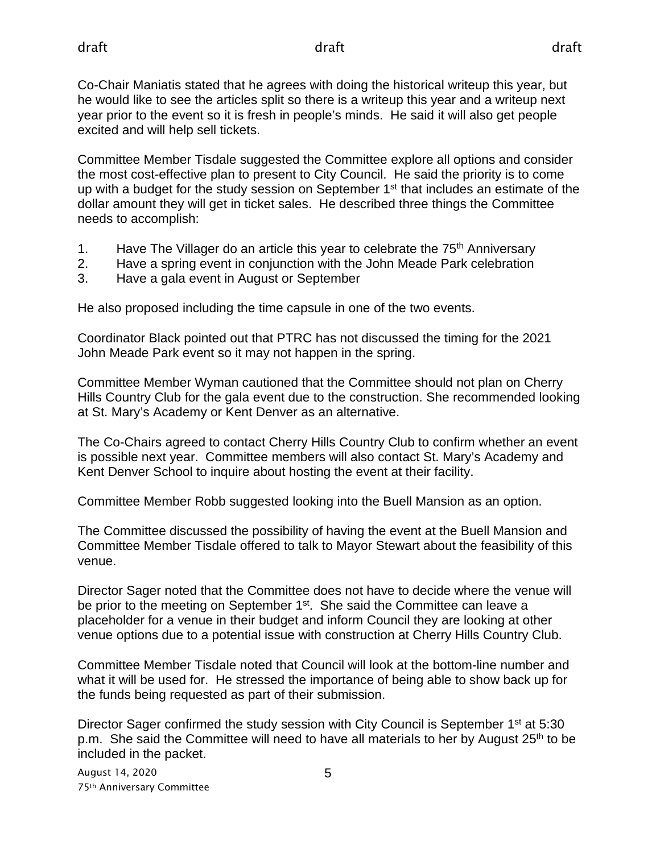Co-Chair Maniatis stated that he agrees with doing the historical writeup this year, but he would like to see the articles split so there is a writeup this year and a writeup next year prior to the event so it is fresh in people's minds. He said it will also get people excited and will help sell tickets.

Committee Member Tisdale suggested the Committee explore all options and consider the most cost-effective plan to present to City Council. He said the priority is to come up with a budget for the study session on September 1<sup>st</sup> that includes an estimate of the dollar amount they will get in ticket sales. He described three things the Committee needs to accomplish:

- 1. Have The Villager do an article this year to celebrate the 75<sup>th</sup> Anniversary
- 2. Have a spring event in conjunction with the John Meade Park celebration
- 3. Have a gala event in August or September

He also proposed including the time capsule in one of the two events.

Coordinator Black pointed out that PTRC has not discussed the timing for the 2021 John Meade Park event so it may not happen in the spring.

Committee Member Wyman cautioned that the Committee should not plan on Cherry Hills Country Club for the gala event due to the construction. She recommended looking at St. Mary's Academy or Kent Denver as an alternative.

The Co-Chairs agreed to contact Cherry Hills Country Club to confirm whether an event is possible next year. Committee members will also contact St. Mary's Academy and Kent Denver School to inquire about hosting the event at their facility.

Committee Member Robb suggested looking into the Buell Mansion as an option.

The Committee discussed the possibility of having the event at the Buell Mansion and Committee Member Tisdale offered to talk to Mayor Stewart about the feasibility of this venue.

Director Sager noted that the Committee does not have to decide where the venue will be prior to the meeting on September 1<sup>st</sup>. She said the Committee can leave a placeholder for a venue in their budget and inform Council they are looking at other venue options due to a potential issue with construction at Cherry Hills Country Club.

Committee Member Tisdale noted that Council will look at the bottom-line number and what it will be used for. He stressed the importance of being able to show back up for the funds being requested as part of their submission.

Director Sager confirmed the study session with City Council is September 1<sup>st</sup> at 5:30 p.m. She said the Committee will need to have all materials to her by August 25<sup>th</sup> to be included in the packet.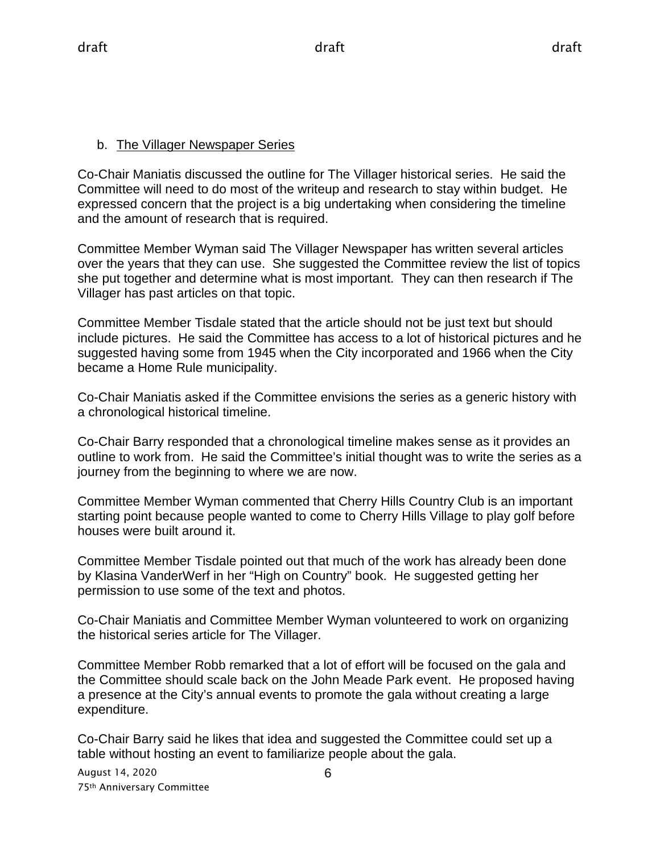#### b. The Villager Newspaper Series

Co-Chair Maniatis discussed the outline for The Villager historical series. He said the Committee will need to do most of the writeup and research to stay within budget. He expressed concern that the project is a big undertaking when considering the timeline and the amount of research that is required.

Committee Member Wyman said The Villager Newspaper has written several articles over the years that they can use. She suggested the Committee review the list of topics she put together and determine what is most important. They can then research if The Villager has past articles on that topic.

Committee Member Tisdale stated that the article should not be just text but should include pictures. He said the Committee has access to a lot of historical pictures and he suggested having some from 1945 when the City incorporated and 1966 when the City became a Home Rule municipality.

Co-Chair Maniatis asked if the Committee envisions the series as a generic history with a chronological historical timeline.

Co-Chair Barry responded that a chronological timeline makes sense as it provides an outline to work from. He said the Committee's initial thought was to write the series as a journey from the beginning to where we are now.

Committee Member Wyman commented that Cherry Hills Country Club is an important starting point because people wanted to come to Cherry Hills Village to play golf before houses were built around it.

Committee Member Tisdale pointed out that much of the work has already been done by Klasina VanderWerf in her "High on Country" book. He suggested getting her permission to use some of the text and photos.

Co-Chair Maniatis and Committee Member Wyman volunteered to work on organizing the historical series article for The Villager.

Committee Member Robb remarked that a lot of effort will be focused on the gala and the Committee should scale back on the John Meade Park event. He proposed having a presence at the City's annual events to promote the gala without creating a large expenditure.

Co-Chair Barry said he likes that idea and suggested the Committee could set up a table without hosting an event to familiarize people about the gala.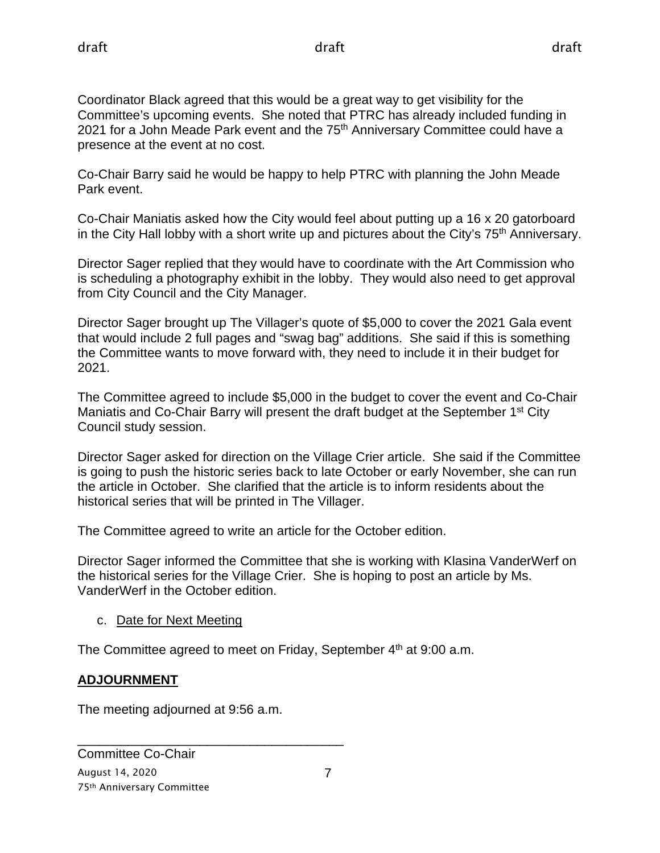Coordinator Black agreed that this would be a great way to get visibility for the Committee's upcoming events. She noted that PTRC has already included funding in 2021 for a John Meade Park event and the 75<sup>th</sup> Anniversary Committee could have a presence at the event at no cost.

Co-Chair Barry said he would be happy to help PTRC with planning the John Meade Park event.

Co-Chair Maniatis asked how the City would feel about putting up a 16 x 20 gatorboard in the City Hall lobby with a short write up and pictures about the City's  $75<sup>th</sup>$  Anniversary.

Director Sager replied that they would have to coordinate with the Art Commission who is scheduling a photography exhibit in the lobby. They would also need to get approval from City Council and the City Manager.

Director Sager brought up The Villager's quote of \$5,000 to cover the 2021 Gala event that would include 2 full pages and "swag bag" additions. She said if this is something the Committee wants to move forward with, they need to include it in their budget for 2021.

The Committee agreed to include \$5,000 in the budget to cover the event and Co-Chair Maniatis and Co-Chair Barry will present the draft budget at the September 1<sup>st</sup> City Council study session.

Director Sager asked for direction on the Village Crier article. She said if the Committee is going to push the historic series back to late October or early November, she can run the article in October. She clarified that the article is to inform residents about the historical series that will be printed in The Villager.

The Committee agreed to write an article for the October edition.

Director Sager informed the Committee that she is working with Klasina VanderWerf on the historical series for the Village Crier. She is hoping to post an article by Ms. VanderWerf in the October edition.

c. Date for Next Meeting

The Committee agreed to meet on Friday, September  $4<sup>th</sup>$  at 9:00 a.m.

### **ADJOURNMENT**

The meeting adjourned at 9:56 a.m.

\_\_\_\_\_\_\_\_\_\_\_\_\_\_\_\_\_\_\_\_\_\_\_\_\_\_\_\_\_\_\_\_\_\_\_\_\_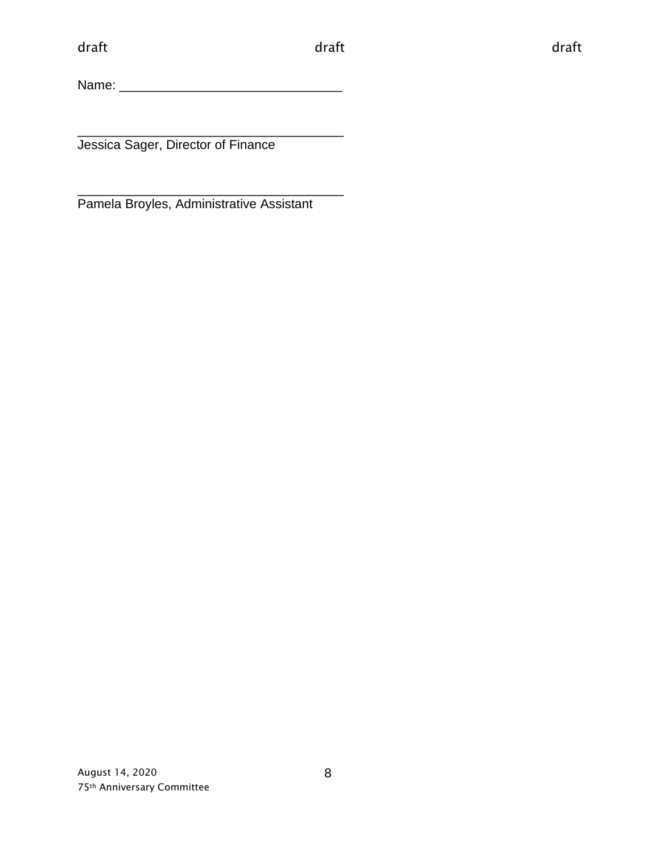Name: \_\_\_\_\_\_\_\_\_\_\_\_\_\_\_\_\_\_\_\_\_\_\_\_\_\_\_\_\_\_\_

\_\_\_\_\_\_\_\_\_\_\_\_\_\_\_\_\_\_\_\_\_\_\_\_\_\_\_\_\_\_\_\_\_\_\_\_\_ Jessica Sager, Director of Finance

\_\_\_\_\_\_\_\_\_\_\_\_\_\_\_\_\_\_\_\_\_\_\_\_\_\_\_\_\_\_\_\_\_\_\_\_\_ Pamela Broyles, Administrative Assistant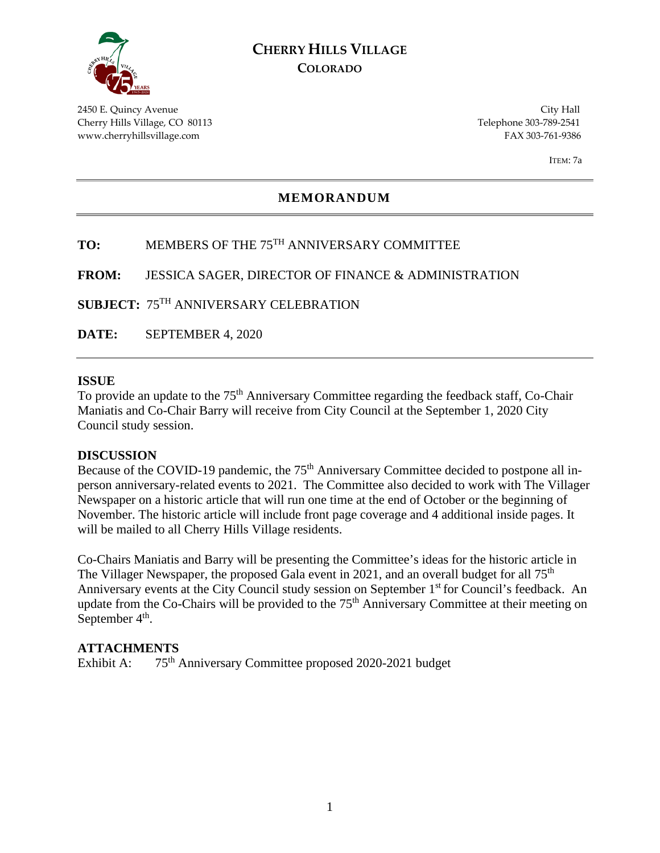

#### **CHERRY HILLS VILLAGE COLORADO**

2450 E. Quincy Avenue City Hall Cherry Hills Village, CO 80113 Telephone 303-789-2541 www.cherryhillsvillage.com FAX 303-761-9386

ITEM: 7a

#### **MEMORANDUM**

#### **TO:** MEMBERS OF THE 75TH ANNIVERSARY COMMITTEE

**FROM:** JESSICA SAGER, DIRECTOR OF FINANCE & ADMINISTRATION

**SUBJECT:** 75TH ANNIVERSARY CELEBRATION

**DATE:** SEPTEMBER 4, 2020

#### **ISSUE**

To provide an update to the 75<sup>th</sup> Anniversary Committee regarding the feedback staff, Co-Chair Maniatis and Co-Chair Barry will receive from City Council at the September 1, 2020 City Council study session.

#### **DISCUSSION**

Because of the COVID-19 pandemic, the 75<sup>th</sup> Anniversary Committee decided to postpone all inperson anniversary-related events to 2021. The Committee also decided to work with The Villager Newspaper on a historic article that will run one time at the end of October or the beginning of November. The historic article will include front page coverage and 4 additional inside pages. It will be mailed to all Cherry Hills Village residents.

Co-Chairs Maniatis and Barry will be presenting the Committee's ideas for the historic article in The Villager Newspaper, the proposed Gala event in 2021, and an overall budget for all 75<sup>th</sup> Anniversary events at the City Council study session on September 1<sup>st</sup> for Council's feedback. An update from the Co-Chairs will be provided to the 75<sup>th</sup> Anniversary Committee at their meeting on September  $4<sup>th</sup>$ .

#### **ATTACHMENTS**

Exhibit A: 75<sup>th</sup> Anniversary Committee proposed 2020-2021 budget